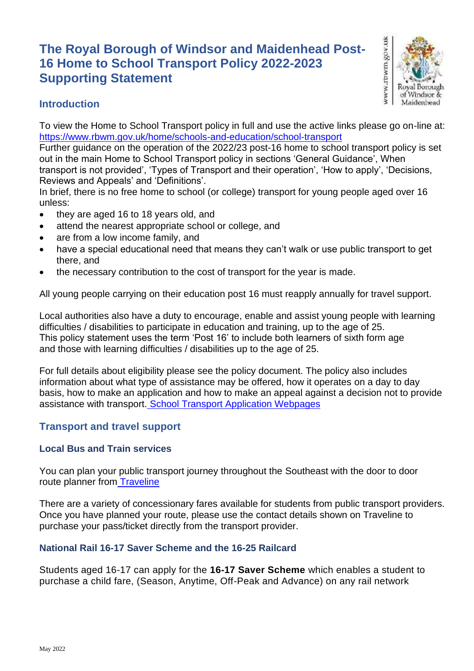# **The Royal Borough of Windsor and Maidenhead Post-16 Home to School Transport Policy 2022-2023 Supporting Statement**



# **Introduction**

To view the Home to School Transport policy in full and use the active links please go on-line at: <https://www.rbwm.gov.uk/home/schools-and-education/school-transport>

Further guidance on the operation of the 2022/23 post-16 home to school transport policy is set out in the main Home to School Transport policy in sections 'General Guidance', When

transport is not provided', 'Types of Transport and their operation', 'How to apply', 'Decisions, Reviews and Appeals' and 'Definitions'.

In brief, there is no free home to school (or college) transport for young people aged over 16 unless:

- they are aged 16 to 18 years old, and
- attend the nearest appropriate school or college, and
- are from a low income family, and
- have a special educational need that means they can't walk or use public transport to get there, and
- the necessary contribution to the cost of transport for the year is made.

All young people carrying on their education post 16 must reapply annually for travel support.

Local authorities also have a duty to encourage, enable and assist young people with learning difficulties / disabilities to participate in education and training, up to the age of 25. This policy statement uses the term 'Post 16' to include both learners of sixth form age and those with learning difficulties / disabilities up to the age of 25.

For full details about eligibility please see the policy document. The policy also includes information about what type of assistance may be offered, how it operates on a day to day basis, how to make an application and how to make an appeal against a decision not to provide assistance with transport. [School Transport Application Webpages](https://www.rbwm.gov.uk/home/schools-and-education/school-transport)

# **Transport and travel support**

# **Local Bus and Train services**

You can plan your public transport journey throughout the Southeast with the door to door route planner from [Traveline](https://www.traveline.info/)

There are a variety of concessionary fares available for students from public transport providers. Once you have planned your route, please use the contact details shown on Traveline to purchase your pass/ticket directly from the transport provider.

# **National Rail 16-17 Saver Scheme and the 16-25 Railcard**

Students aged 16-17 can apply for the **16-17 Saver Scheme** which enables a student to purchase a child fare, (Season, Anytime, Off-Peak and Advance) on any rail network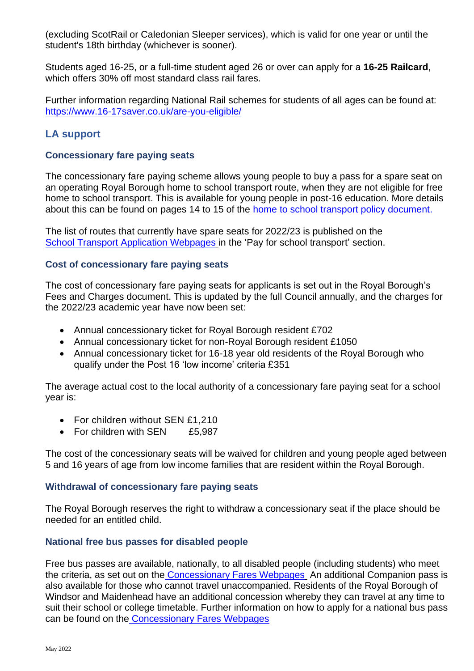(excluding ScotRail or Caledonian Sleeper services), which is valid for one year or until the student's 18th birthday (whichever is sooner).

Students aged 16-25, or a full-time student aged 26 or over can apply for a **16-25 Railcard**, which offers 30% off most standard class rail fares.

Further information regarding National Rail schemes for students of all ages can be found at: <https://www.16-17saver.co.uk/are-you-eligible/>

# **LA support**

# **Concessionary fare paying seats**

The concessionary fare paying scheme allows young people to buy a pass for a spare seat on an operating Royal Borough home to school transport route, when they are not eligible for free home to school transport. This is available for young people in post-16 education. More details about this can be found on pages 14 to 15 of the [home to school transport policy document.](https://www.rbwm.gov.uk/home/schools-and-education/school-transport)

The list of routes that currently have spare seats for 2022/23 is published on th[e](https://www.rbwm.gov.uk/home/schools-and-education/school-transport) [School Transport Application Webpages](https://www.rbwm.gov.uk/home/schools-and-education/school-transport) in the 'Pay for school transport' section.

## **Cost of concessionary fare paying seats**

The cost of concessionary fare paying seats for applicants is set out in the Royal Borough's Fees and Charges document. This is updated by the full Council annually, and the charges for the 2022/23 academic year have now been set:

- Annual concessionary ticket for Royal Borough resident £702
- Annual concessionary ticket for non-Royal Borough resident £1050
- Annual concessionary ticket for 16-18 year old residents of the Royal Borough who qualify under the Post 16 'low income' criteria £351

The average actual cost to the local authority of a concessionary fare paying seat for a school year is:

- For children without SEN £1,210
- For children with SEN £5,987

The cost of the concessionary seats will be waived for children and young people aged between 5 and 16 years of age from low income families that are resident within the Royal Borough.

## **Withdrawal of concessionary fare paying seats**

The Royal Borough reserves the right to withdraw a concessionary seat if the place should be needed for an entitled child.

# **National free bus passes for disabled people**

Free bus passes are available, nationally, to all disabled people (including students) who meet the criteria, as set out on the [Concessionary Fares Webpages](https://www.rbwm.gov.uk/home/transport-and-streets/public-transport/bus-passes) An additional Companion pass is also available for those who cannot travel unaccompanied. Residents of the Royal Borough of Windsor and Maidenhead have an additional concession whereby they can travel at any time to suit their school or college timetable. Further information on how to apply for a national bus pass can be found on the [Concessionary Fares Webpages](https://www.rbwm.gov.uk/home/transport-and-streets/public-transport/bus-passes)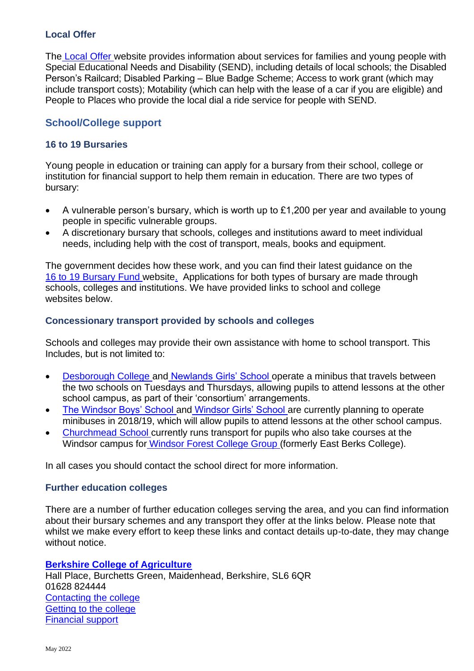# **Local Offer**

The [Local Offer](https://rbwm.afcinfo.org.uk/) website provides information about services for families and young people with Special Educational Needs and Disability (SEND), including details of local schools; the Disabled Person's Railcard; Disabled Parking – Blue Badge Scheme; Access to work grant (which may include transport costs); Motability (which can help with the lease of a car if you are eligible) and People to Places who provide the local dial a ride service for people with SEND.

# **School/College support**

# **16 to 19 Bursaries**

Young people in education or training can apply for a bursary from their school, college or institution for financial support to help them remain in education. There are two types of bursary:

- A vulnerable person's bursary, which is worth up to £1,200 per year and available to young people in specific vulnerable groups.
- A discretionary bursary that schools, colleges and institutions award to meet individual needs, including help with the cost of transport, meals, books and equipment.

The government decides how these work, and you can find their latest guidance on the [16 to 19 Bursary Fund](https://www.gov.uk/1619-bursary-fund) website. Applications for both types of bursary are made through schools, colleges and institutions. We have provided links to school and college websites below.

## **Concessionary transport provided by schools and colleges**

Schools and colleges may provide their own assistance with home to school transport. This Includes, but is not limited to:

- [Desborough College](https://www.rbwm.gov.uk/home/schools-and-education/schools-and-schooling/schools-directory/desborough-college) and [Newlands Girls' School](https://www.rbwm.gov.uk/home/schools-and-education/schools-and-schooling/schools-directory/newlands-girls-school) operate a minibus that travels between the two schools on Tuesdays and Thursdays, allowing pupils to attend lessons at the other school campus, as part of their 'consortium' arrangements.
- [The Windsor Boys' School](https://www.rbwm.gov.uk/home/schools-and-education/schools-and-schooling/schools-directory/windsor-boys-school) and [Windsor Girls' School](https://www.rbwm.gov.uk/home/schools-and-education/schools-and-schooling/schools-directory/windsor-girls-school) are currently planning to operate minibuses in 2018/19, which will allow pupils to attend lessons at the other school campus.
- [Churchmead School](https://www.rbwm.gov.uk/home/schools-and-education/schools-and-schooling/schools-directory/churchmead-church-england-school) currently runs transport for pupils who also take courses at the Windsor campus for [Windsor Forest College Group](https://www.windsor-forest.ac.uk/) (formerly East Berks College).

In all cases you should contact the school direct for more information.

## **Further education colleges**

There are a number of further education colleges serving the area, and you can find information about their bursary schemes and any transport they offer at the links below. Please note that whilst we make every effort to keep these links and contact details up-to-date, they may change without notice.

## **[Berkshire College of Agriculture](https://www.bca.ac.uk/)**

Hall Place, Burchetts Green, Maidenhead, Berkshire, SL6 6QR 01628 824444 [Contacting the college](https://www.bca.ac.uk/contact/) [Getting to the college](https://www.bca.ac.uk/parents/transport/) [Financial support](https://www.bca.ac.uk/the-college/student-services/financial-assistance/)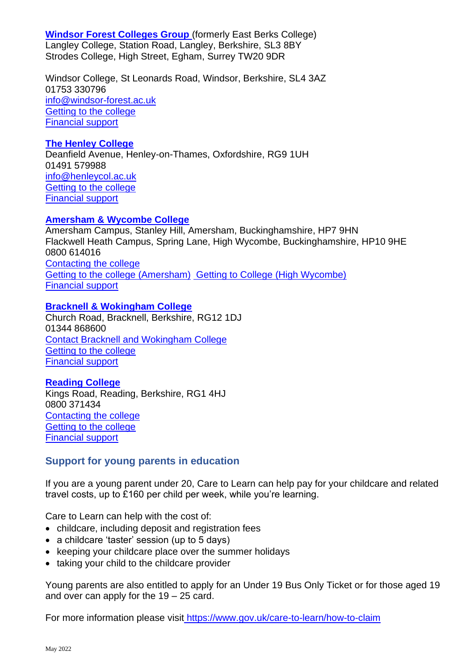**[Windsor Forest Colleges Group](https://www.windsor-forest.ac.uk/)** (formerly East Berks College) Langley College, Station Road, Langley, Berkshire, SL3 8BY Strodes College, High Street, Egham, Surrey TW20 9DR

Windsor College, St Leonards Road, Windsor, Berkshire, SL4 3AZ 01753 330796 [info@windsor-forest.ac.uk](mailto:info@windsor-forest.ac.uk) [Getting to the college](https://www.windsor-forest.ac.uk/contact-us/travel.html) [Financial support](https://www.windsor-forest.ac.uk/support-services/financial-support.html)

#### **[The Henley College](http://www.henleycol.ac.uk/)**

Deanfield Avenue, Henley-on-Thames, Oxfordshire, RG9 1UH 01491 579988 [info@henleycol.ac.uk](mailto:info@henleycol.ac.uk) [Getting to the college](http://www.henleycol.ac.uk/life-at-henley/transport/) [Financial support](https://www.henleycol.ac.uk/support/bursary-fund/)

## **[Amersham & Wycombe College](http://www.amersham.ac.uk/)**

Amersham Campus, Stanley Hill, Amersham, Buckinghamshire, HP7 9HN Flackwell Heath Campus, Spring Lane, High Wycombe, Buckinghamshire, HP10 9HE 0800 614016 [Contacting the college](http://www.buckscollegegroup.ac.uk/contact-us) [Getting to the college \(Amersham\)](https://www.buckscollegegroup.ac.uk/index.php?option=com_content&view=article&id=772:finding-us&catid=90:amersham) [Getting to College \(High Wycombe\)](https://www.buckscollegegroup.ac.uk/index.php?option=com_content&view=article&id=770:finding-us&catid=91:wycombe) [Financial support](https://www.buckscollegegroup.ac.uk/index.php?option=com_content&view=category&id=71)

#### **[Bracknell & Wokingham College](http://www.bracknell.ac.uk/)**

Church Road, Bracknell, Berkshire, RG12 1DJ 01344 868600 [Contact Bracknell and Wokingham College](https://bracknell.activatelearning.ac.uk/about-us/contact-us/) [Getting to the college](https://bracknell.activatelearning.ac.uk/college-life/student-experience/travelling-to-the-college/) [Financial support](https://bracknell.activatelearning.ac.uk/college-life/supporting-you/money-matters/)

#### **[Reading College](http://www.reading-college.ac.uk/)**

Kings Road, Reading, Berkshire, RG1 4HJ 0800 371434 [Contacting the college](https://reading.activatelearning.ac.uk/about-us/contact-us/) [Getting to the college](https://reading.activatelearning.ac.uk/college-life/student-experience/travelling-to-the-college/) [Financial support](https://reading.activatelearning.ac.uk/college-life/supporting-you/money-matters/)

## **Support for young parents in education**

If you are a young parent under 20, Care to Learn can help pay for your childcare and related travel costs, up to £160 per child per week, while you're learning.

Care to Learn can help with the cost of:

- childcare, including deposit and registration fees
- a childcare 'taster' session (up to 5 days)
- keeping your childcare place over the summer holidays
- taking your child to the childcare provider

Young parents are also entitled to apply for an Under 19 Bus Only Ticket or for those aged 19 and over can apply for the  $19 - 25$  card.

For more information please visit <https://www.gov.uk/care-to-learn/how-to-claim>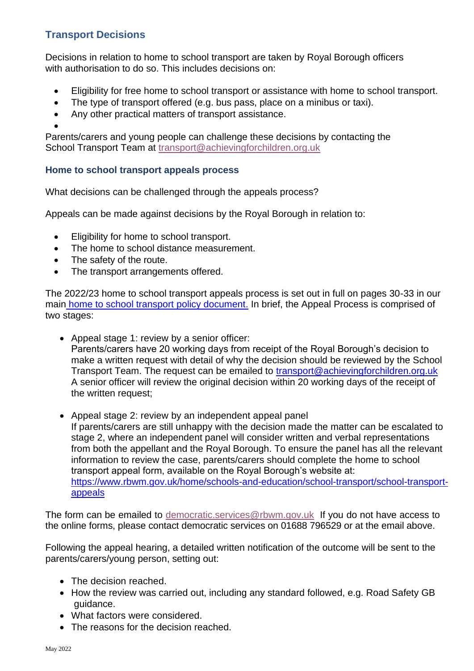# **Transport Decisions**

Decisions in relation to home to school transport are taken by Royal Borough officers with authorisation to do so. This includes decisions on:

- Eligibility for free home to school transport or assistance with home to school transport.
- The type of transport offered (e.g. bus pass, place on a minibus or taxi).
- Any other practical matters of transport assistance.
- •

Parents/carers and young people can challenge these decisions by contacting the School Transport Team [at](mailto:at_transport@achievingforchildren.org.uk) [transport@achievingforchildren.org.uk](mailto:transport@achievingforchildren.org.uk)

# **Home to school transport appeals process**

What decisions can be challenged through the appeals process?

Appeals can be made against decisions by the Royal Borough in relation to:

- Eligibility for home to school transport.
- The home to school distance measurement.
- The safety of the route.
- The transport arrangements offered.

The 2022/23 home to school transport appeals process is set out in full on pages 30-33 in our main [home to school transport policy document.](https://www.rbwm.gov.uk/home/schools-and-education/school-transport) In brief, the Appeal Process is comprised of two stages:

- Appeal stage 1: review by a senior officer: Parents/carers have 20 working days from receipt of the Royal Borough's decision to make a written request with detail of why the decision should be reviewed by the School Transport Team. The request can be emailed to [transport@achievingforchildren.org.uk](mailto:transport@achievingforchildren.org.uk) A senior officer will review the original decision within 20 working days of the receipt of the written request;
- Appeal stage 2: review by an independent appeal panel If parents/carers are still unhappy with the decision made the matter can be escalated to stage 2, where an independent panel will consider written and verbal representations from both the appellant and the Royal Borough. To ensure the panel has all the relevant information to review the case, parents/carers should complete the home to school transport appeal form, available on the Royal Borough's website at: [https://www.rbwm.gov.uk/home/schools-and-education/school-transport/school-transport](https://www.rbwm.gov.uk/home/schools-and-education/school-transport/school-transport-appeals)[appeals](https://www.rbwm.gov.uk/home/schools-and-education/school-transport/school-transport-appeals)

The form can be emailed to [democratic.services@rbwm.gov.uk](mailto:democratic.services@rbwm.gov.uk) If you do not have access to the online forms, please contact democratic services on 01688 796529 or at the email above.

Following the appeal hearing, a detailed written notification of the outcome will be sent to the parents/carers/young person, setting out:

- The decision reached.
- How the review was carried out, including any standard followed, e.g. Road Safety GB guidance.
- What factors were considered.
- The reasons for the decision reached.